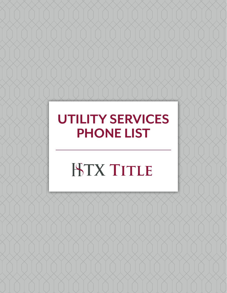# **UTILITY SERVICES PHONE LIST**

# **ISTX TITLE**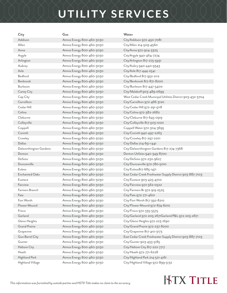### **UTILITY SERVICES**

| City                   | Gas                       | Water                                                      |
|------------------------|---------------------------|------------------------------------------------------------|
| Addison                | Atmos Energy 800-460-3030 | City/Addison 972-450-7081                                  |
| Allen                  | Atmos Energy 800-460-3030 | City/Allen 214-509-4560                                    |
| Anna                   | Atmos Energy 800-460-3030 | City/Anna 972-924-3325                                     |
| Argyle                 | Atmos Energy 800-460-3030 | City/Argyle 940-464-7274                                   |
| Arlington              | Atmos Energy 800-460-3030 | City/Arlington 817-275-5931                                |
| Aubrey                 | Atmos Energy 800-460-3030 | City/Aubry 940-440-9343                                    |
| Azle                   | Atmos Energy 800-460-3030 | City/Azle 817-444-2541                                     |
| Bedford                | Atmos Energy 800-460-3030 | City/Bedford 817-952-2112                                  |
| Benbrook               | Atmos Energy 800-460-3030 | City/Benbrook 817-871-8200                                 |
| Burleson               | Atmos Energy 800-460-3030 | City/Burleson 817-447-5400                                 |
| Caney City             | Atmos Energy 800-460-3030 | City/Malakoff 903-489-0699                                 |
| Cap City               | Atmos Energy 800-460-3030 | West Cedar Creek Municipal Utilities District 903-432-3704 |
| Carrollton             | Atmos Energy 800-460-3030 | City/Carrollton 972-466-3120                               |
| Cedar Hill             | Atmos Energy 800-460-3030 | City/Cedar Hill 972-291-5118                               |
| Celina                 | Atmos Energy 800-460-3030 | City/Celina 972-382-2682                                   |
| Cleburne               | Atmos Energy 800-460-3030 | City/Cleburne 817-645-0919                                 |
| Colleyville            | Atmos Energy 800-460-3030 | City/Colleyville 817-503-1020                              |
| Coppell                | Atmos Energy 800-460-3030 | Coppell Water 972-304-3695                                 |
| Corinth                | Atmos Energy 800-460-3030 | City/Corinth 940-497-2263                                  |
| Crowley                | Atmos Energy 800-460-3030 | City/Crowley 817-297-2201                                  |
| <b>Dallas</b>          | Atmos Energy 800-460-3030 | City/Dallas 214-651-1441                                   |
| Dalworthington Gardens | Atmos Energy 800-460-3030 | City/Dalworthington Gardens 817-274-7368                   |
| Denton                 | Atmos Energy 800-460-3030 | Denton Utilities 940-349-8700                              |
| DeSoto                 | Atmos Energy 800-460-3030 | City/DeSoto 972-230-9627                                   |
| Duncanville            | Atmos Energy 800-460-3030 | City/Duncanville 972-780-5010                              |
| Euless                 | Atmos Energy 800-460-3030 | City/Euless817-685-1471                                    |
| <b>Enchanted Oaks</b>  | Atmos Energy 800-460-3030 | East Cedar Creek Freshwater Supply District 903-887-7103   |
| Eustace                | Atmos Energy 800-460-3030 | City/Eustace 903-425-4702                                  |
| Fairview               | Atmos Energy 800-460-3030 | City/Fairview 972-562-0522                                 |
| Farmers Branch         | Atmos Energy 800-460-3030 | City/Farmers Br 972-919-2525                               |
| Fate                   | Atmos Energy 800-460-3030 | City/Fate 972-771-4601                                     |
| Fort Worth             | Atmos Energy 800-460-3030 | City/Fort Worth 817-392-8210                               |
| Flower Mound           | Atmos Energy 800-460-3030 | City/Flower Mound 972-874-6010                             |
| Frisco                 | Atmos Energy 800-460-3030 | City/Frisco 972-335-5575                                   |
| Garland                | Atmos Energy 800-460-3030 | City/Garland 972-205-2671Garland P&L 972-205-2671          |
| Glenn Heights          | Atmos Energy 800-460-3030 | City/Glenn Heights 972-223-1690                            |
| <b>Grand Prairie</b>   | Atmos Energy 800-460-3030 | City/Grand Prairie 972-237-8200                            |
| Grapevine              | Atmos Energy 800-460-3030 | City/Grapevine 817-410-3173                                |
| <b>Gun Barrel City</b> | Atmos Energy 800-460-3030 | East Cedar Creek Freshwater Supply District 903-887-7103   |
| Gunter                 | Atmos Energy 800-460-3030 | City/Gunter 903-433-5185                                   |
| Haltom City            | Atmos Energy 800-460-3030 | City/Haltom City 817-222-7717                              |
| Heath                  | Atmos Energy 800-460-3030 | City/Heath 972-771-6228                                    |
| Highland Park          | Atmos Energy 800-460-3030 | City/Highland Park 214-521-4161                            |
| Highland Village       | Atmos Energy 800-460-3030 | City/Highland Village 972-899-5132                         |

#### **HTX TITLE**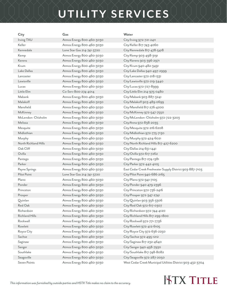#### **UTILITY SERVICES**

**City Gas Water** Irving TXU Atmos Energy 800-460-3030 City/Irving 972-721-2411 Keller Atmos Energy 800-460-3030 City/Keller 817-743-4060 Kemp **Atmos Energy 800-460-3030** City/Kemp 903-498-3191 Kerens Atmos Energy 800-460-3030 City/Kerens 903-396-2971 Krum Atmos Energy 800-460-3030 City/Krum 940-482-3491 Lancaster Atmos Energy 800-460-3030 City/Lancaster 972-218-1331 Lucas Atmos Energy 800-460-3030 City/Lucas 972-727-8999 Mabank Atmos Energy 800-460-3030 City/Mabank 903-887-3241 Melissa Atmos Energy 800-460-3030 City/Anna 972-838-2035 Murphy **Atmos Energy 800-460-3030** City/Murphy 972-424-6021 Oak Cliff Atmos Energy 800-460-3030 City/Dallas 214-651-1441 Ovilla Atmos Energy 800-460-3030 City/Ovilla 972-617-7262 Pantego **Atmos Energy 800-460-3030** City/Pantego 817-274-1381 Parker Atmos Energy 800-460-3030 City/Parker 972-442-4105 Plano Bharry 800-460-3030 City/Plano 972-941-7105 Ponder Atmos Energy 800-460-3030 City/Ponder 940-479-2396 Prosper **Atmos Energy 800-460-3030** City/Prosper 972-347-2741 Quinlan Atmos Energy 800-460-3030 City/Quinlan 903-356-3306 Red Oak **Atmos Energy 800-460-3030** City/Red Oak 972-617-0307 Rockwall **Atmos Energy 800-460-3030** City/Rockwall 972-771-7736 Rowlett Atmos Energy 800-460-3030 City/Rowlett 972-412-6105 Sachse Atmos Energy 800-460-3030 City/Sachse 972-495-1212 Saginaw Atmos Energy 800-460-3030 City/Saginaw 817-232-4640 Sanger Atmos Energy 800-460-3030 City/Sanger 940-458-7930

Kennedale Lone Star Gas 214-741-3720 City/Kennedale 817-478-5418 Lake Dallas **Atmos Energy 800-460-3030** City/Lake Dallas 940-497-2999 Lewisville **Atmos Energy 800-460-3030** City/Lewisville 972-219-3440 Little Elm Co-Serv 800-274-4014 City/Little Elm 214-975-0480 Malakoff Malakoff Atmos Energy 800-460-3030 City/Malakoff 903-489-0699 Mansfield Atmos Energy 800-460-3030 City/Mansfield 817-276-4200 McKinney **Atmos Energy 800-460-3030** City/McKinney 972-547-7550 McLendon- Chisholm Atmos Energy 800-460-3030 City/McLendon- Chisholm 972-722-3203 Mesquite **Atmos Energy 800-460-3030** City/Mesquite 972-216-6208 Midlothian Atmos Energy 800-460-3030 City/Midlothian 972-775-7130 North Richland Hills Atmos Energy 800-460-3030 City/North Richland Hills 817-427-6200 Payne Springs **Atmos Energy 800-460-3030** East Cedar Creek Freshwater Supply District 903-887-7103 Pilot Point Lone Star Gas 214-741-3720 City/Pilot Point 940-686-2165 Princeton **Atmos Energy 800-460-3030** City/Princeton 972-736-2416 Richardson Atmos Energy 800-460-3030 City/Richardson 972-744-4120 Richland Hills **Atmos Energy 800-460-3030** City/Richland Hills 817-299-1800 Royce City **Atmos Energy 800-460-3030** City/Royce City 972-636-2250 Southlake Atmos Energy 800-460-3030 City/Southlake 817-748-8082 Seagoville **Atmos Energy 800-460-3030** City/Seagoville 972-287-2050 Seven Points **Atmos Energy 800-460-3030** West Cedar Creek Municipal Utilities District 903-432-3704

#### **KTX TITLE**